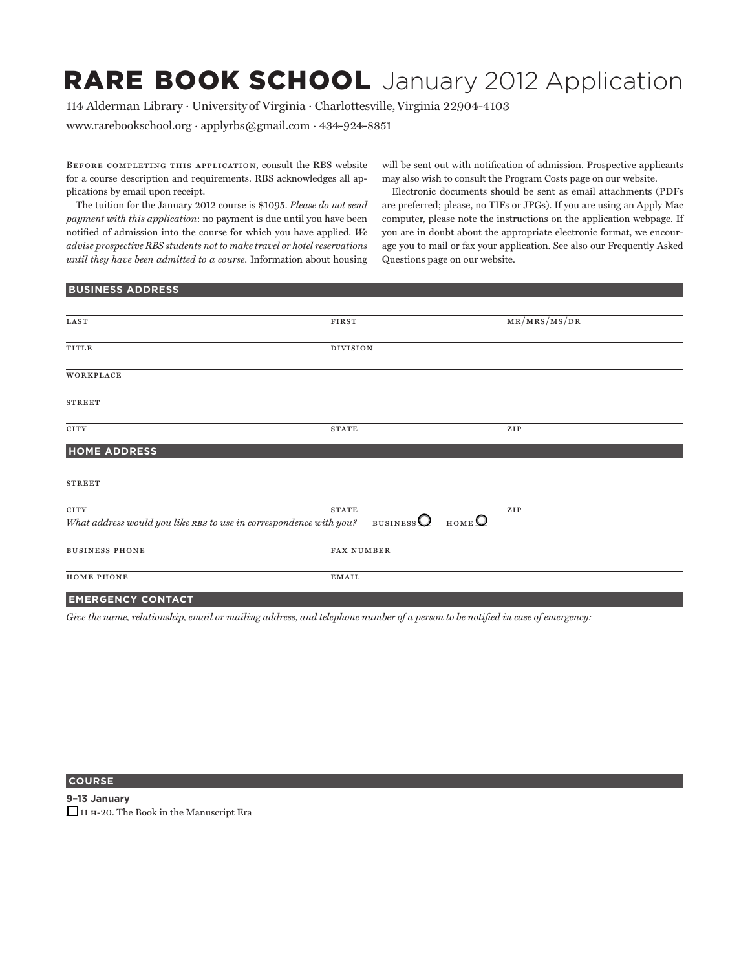# RARE BOOK SCHOOL January 2012 Application

114 Alderman Library · Universityof Virginia · Charlottesville,Virginia 22904-4103

www.rarebookschool.org · applyrbs@gmail.com · 434-924-8851

Before completing this application, consult the RBS website for a course description and requirements. RBS acknowledges all applications by email upon receipt.

The tuition for the January 2012 course is \$1095. *Please do not send payment with this application*: no payment is due until you have been notified of admission into the course for which you have applied. *We advise prospective RBS students not to make travel or hotel reservations until they have been admitted to a course*. Information about housing will be sent out with notification of admission. Prospective applicants may also wish to consult the Program Costs page on our website.

Electronic documents should be sent as email attachments (PDFs are preferred; please, no TIFs or JPGs). If you are using an Apply Mac computer, please note the instructions on the application webpage. If you are in doubt about the appropriate electronic format, we encourage you to mail or fax your application. See also our Frequently Asked Questions page on our website.

#### **Business Address**

| <b>FIRST</b>      | MR/MRS/MS/DR                                                                                                                     |
|-------------------|----------------------------------------------------------------------------------------------------------------------------------|
|                   |                                                                                                                                  |
|                   |                                                                                                                                  |
|                   |                                                                                                                                  |
|                   |                                                                                                                                  |
|                   |                                                                                                                                  |
| <b>STATE</b>      | ZIP                                                                                                                              |
|                   |                                                                                                                                  |
|                   |                                                                                                                                  |
|                   |                                                                                                                                  |
| <b>STATE</b>      | ${\bf ZIP}$                                                                                                                      |
|                   |                                                                                                                                  |
| <b>FAX NUMBER</b> |                                                                                                                                  |
| <b>EMAIL</b>      |                                                                                                                                  |
|                   | <b>DIVISION</b><br>HOME <sup>O</sup><br>What address would you like RBS to use in correspondence with you? BUSINESS $\mathcal Q$ |

## **emergency contact**

*Give the name, relationship, email or mailing address, and telephone number of a person to be notified in case of emergency:*

## **COURSE**

**9–13 January** \_\_ 11 h-20. The Book in the Manuscript Era